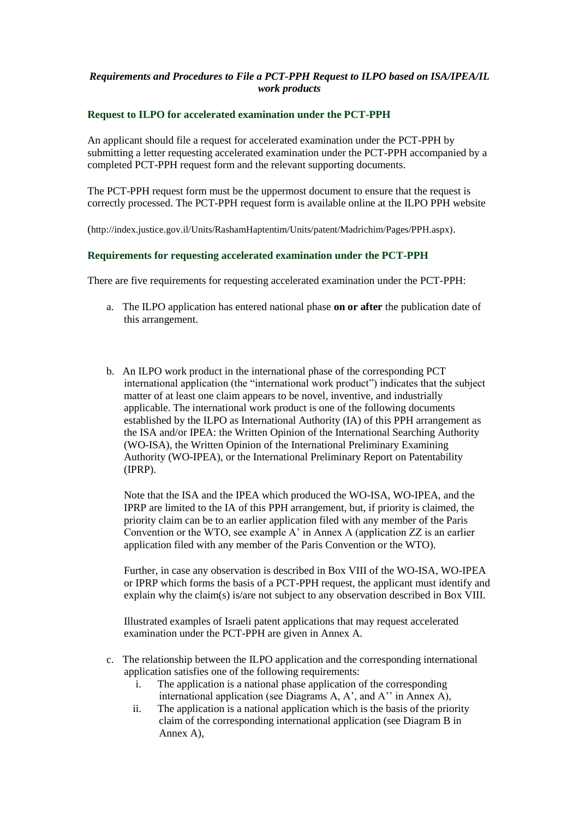## *Requirements and Procedures to File a PCT-PPH Request to ILPO based on ISA/IPEA/IL work products*

### **Request to ILPO for accelerated examination under the PCT-PPH**

An applicant should file a request for accelerated examination under the PCT-PPH by submitting a letter requesting accelerated examination under the PCT-PPH accompanied by a completed PCT-PPH request form and the relevant supporting documents.

The PCT-PPH request form must be the uppermost document to ensure that the request is correctly processed. The PCT-PPH request form is available online at the ILPO PPH website

(http://index.justice.gov.il/Units/RashamHaptentim/Units/patent/Madrichim/Pages/PPH.aspx).

#### **Requirements for requesting accelerated examination under the PCT-PPH**

There are five requirements for requesting accelerated examination under the PCT-PPH:

- a. The ILPO application has entered national phase **on or after** the publication date of this arrangement.
- b. An ILPO work product in the international phase of the corresponding PCT international application (the "international work product") indicates that the subject matter of at least one claim appears to be novel, inventive, and industrially applicable. The international work product is one of the following documents established by the ILPO as International Authority (IA) of this PPH arrangement as the ISA and/or IPEA: the Written Opinion of the International Searching Authority (WO-ISA), the Written Opinion of the International Preliminary Examining Authority (WO-IPEA), or the International Preliminary Report on Patentability (IPRP).

Note that the ISA and the IPEA which produced the WO-ISA, WO-IPEA, and the IPRP are limited to the IA of this PPH arrangement, but, if priority is claimed, the priority claim can be to an earlier application filed with any member of the Paris Convention or the WTO, see example A' in Annex A (application ZZ is an earlier application filed with any member of the Paris Convention or the WTO).

Further, in case any observation is described in Box VIII of the WO-ISA, WO-IPEA or IPRP which forms the basis of a PCT-PPH request, the applicant must identify and explain why the claim(s) is/are not subject to any observation described in Box VIII.

Illustrated examples of Israeli patent applications that may request accelerated examination under the PCT-PPH are given in Annex A.

- c. The relationship between the ILPO application and the corresponding international application satisfies one of the following requirements:
	- i. The application is a national phase application of the corresponding international application (see Diagrams A, A', and A'' in Annex A),
	- ii. The application is a national application which is the basis of the priority claim of the corresponding international application (see Diagram B in Annex A),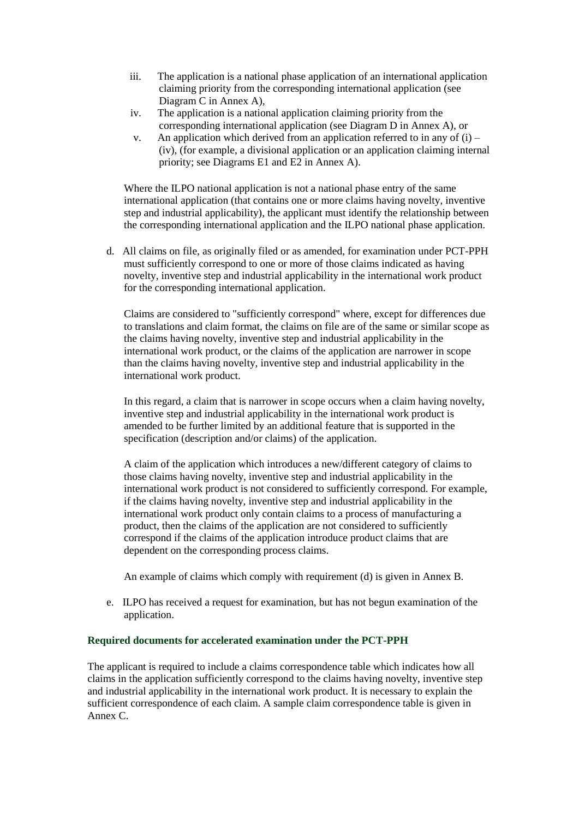- iii. The application is a national phase application of an international application claiming priority from the corresponding international application (see Diagram C in Annex A),
- iv. The application is a national application claiming priority from the corresponding international application (see Diagram D in Annex A), or
- v. An application which derived from an application referred to in any of  $(i)$  (iv), (for example, a divisional application or an application claiming internal priority; see Diagrams E1 and E2 in Annex A).

Where the ILPO national application is not a national phase entry of the same international application (that contains one or more claims having novelty, inventive step and industrial applicability), the applicant must identify the relationship between the corresponding international application and the ILPO national phase application.

d. All claims on file, as originally filed or as amended, for examination under PCT-PPH must sufficiently correspond to one or more of those claims indicated as having novelty, inventive step and industrial applicability in the international work product for the corresponding international application.

Claims are considered to "sufficiently correspond" where, except for differences due to translations and claim format, the claims on file are of the same or similar scope as the claims having novelty, inventive step and industrial applicability in the international work product, or the claims of the application are narrower in scope than the claims having novelty, inventive step and industrial applicability in the international work product.

In this regard, a claim that is narrower in scope occurs when a claim having novelty, inventive step and industrial applicability in the international work product is amended to be further limited by an additional feature that is supported in the specification (description and/or claims) of the application.

A claim of the application which introduces a new/different category of claims to those claims having novelty, inventive step and industrial applicability in the international work product is not considered to sufficiently correspond. For example, if the claims having novelty, inventive step and industrial applicability in the international work product only contain claims to a process of manufacturing a product, then the claims of the application are not considered to sufficiently correspond if the claims of the application introduce product claims that are dependent on the corresponding process claims.

An example of claims which comply with requirement (d) is given in Annex B.

e. ILPO has received a request for examination, but has not begun examination of the application.

## **Required documents for accelerated examination under the PCT-PPH**

The applicant is required to include a claims correspondence table which indicates how all claims in the application sufficiently correspond to the claims having novelty, inventive step and industrial applicability in the international work product. It is necessary to explain the sufficient correspondence of each claim. A sample claim correspondence table is given in Annex C.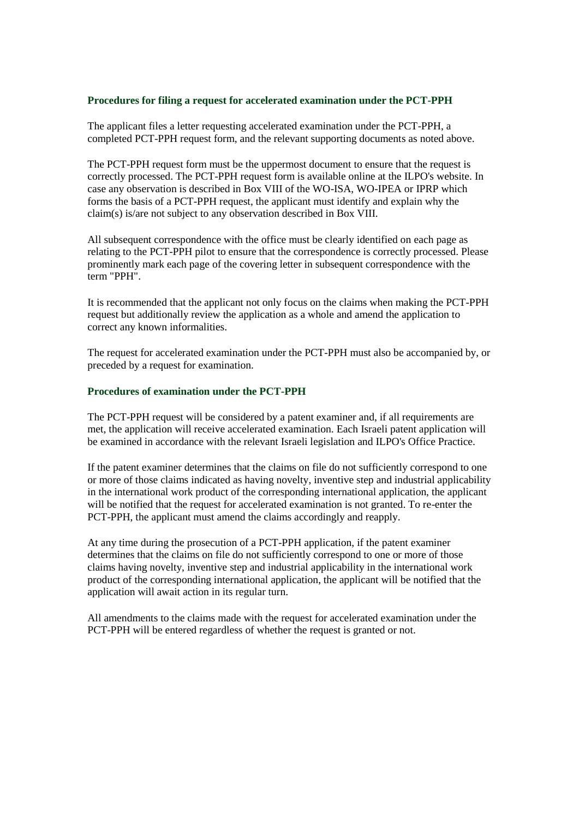#### **Procedures for filing a request for accelerated examination under the PCT-PPH**

The applicant files a letter requesting accelerated examination under the PCT-PPH, a completed PCT-PPH request form, and the relevant supporting documents as noted above.

The PCT-PPH request form must be the uppermost document to ensure that the request is correctly processed. The PCT-PPH request form is available online at the ILPO's website. In case any observation is described in Box VIII of the WO-ISA, WO-IPEA or IPRP which forms the basis of a PCT-PPH request, the applicant must identify and explain why the claim(s) is/are not subject to any observation described in Box VIII.

All subsequent correspondence with the office must be clearly identified on each page as relating to the PCT-PPH pilot to ensure that the correspondence is correctly processed. Please prominently mark each page of the covering letter in subsequent correspondence with the term "PPH".

It is recommended that the applicant not only focus on the claims when making the PCT-PPH request but additionally review the application as a whole and amend the application to correct any known informalities.

The request for accelerated examination under the PCT-PPH must also be accompanied by, or preceded by a request for examination.

#### **Procedures of examination under the PCT-PPH**

The PCT-PPH request will be considered by a patent examiner and, if all requirements are met, the application will receive accelerated examination. Each Israeli patent application will be examined in accordance with the relevant Israeli legislation and ILPO's Office Practice.

If the patent examiner determines that the claims on file do not sufficiently correspond to one or more of those claims indicated as having novelty, inventive step and industrial applicability in the international work product of the corresponding international application, the applicant will be notified that the request for accelerated examination is not granted. To re-enter the PCT-PPH, the applicant must amend the claims accordingly and reapply.

At any time during the prosecution of a PCT-PPH application, if the patent examiner determines that the claims on file do not sufficiently correspond to one or more of those claims having novelty, inventive step and industrial applicability in the international work product of the corresponding international application, the applicant will be notified that the application will await action in its regular turn.

All amendments to the claims made with the request for accelerated examination under the PCT-PPH will be entered regardless of whether the request is granted or not.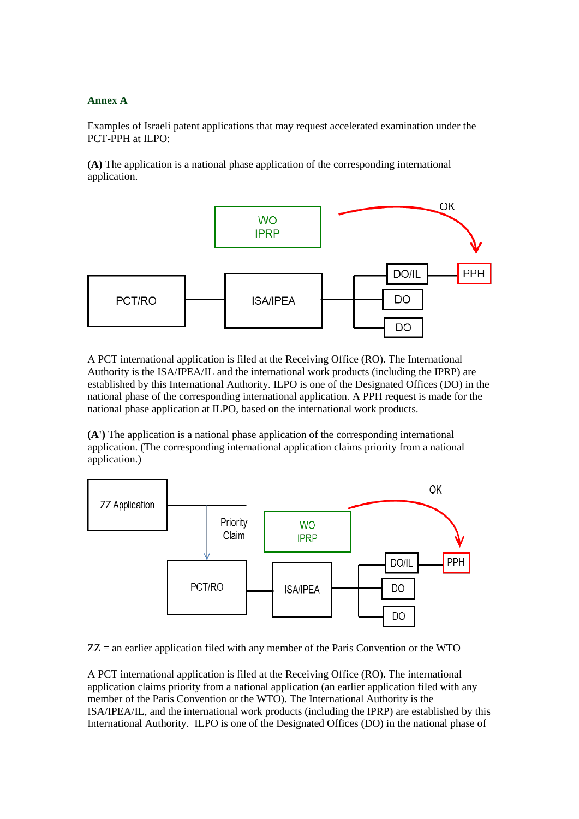## **Annex A**

Examples of Israeli patent applications that may request accelerated examination under the PCT-PPH at ILPO:

**(A)** The application is a national phase application of the corresponding international application.



A PCT international application is filed at the Receiving Office (RO). The International Authority is the ISA/IPEA/IL and the international work products (including the IPRP) are established by this International Authority. ILPO is one of the Designated Offices (DO) in the national phase of the corresponding international application. A PPH request is made for the national phase application at ILPO, based on the international work products.

**(A')** The application is a national phase application of the corresponding international application. (The corresponding international application claims priority from a national application.)



 $ZZ =$  an earlier application filed with any member of the Paris Convention or the WTO

A PCT international application is filed at the Receiving Office (RO). The international application claims priority from a national application (an earlier application filed with any member of the Paris Convention or the WTO). The International Authority is the ISA/IPEA/IL, and the international work products (including the IPRP) are established by this International Authority. ILPO is one of the Designated Offices (DO) in the national phase of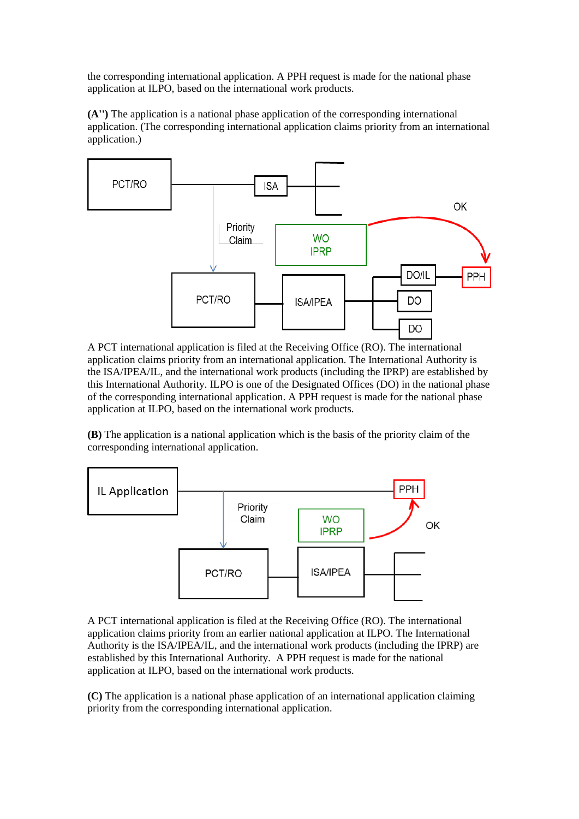the corresponding international application. A PPH request is made for the national phase application at ILPO, based on the international work products.

**(A'')** The application is a national phase application of the corresponding international application. (The corresponding international application claims priority from an international application.)



A PCT international application is filed at the Receiving Office (RO). The international application claims priority from an international application. The International Authority is the ISA/IPEA/IL, and the international work products (including the IPRP) are established by this International Authority. ILPO is one of the Designated Offices (DO) in the national phase of the corresponding international application. A PPH request is made for the national phase application at ILPO, based on the international work products.

**(B)** The application is a national application which is the basis of the priority claim of the corresponding international application.



A PCT international application is filed at the Receiving Office (RO). The international application claims priority from an earlier national application at ILPO. The International Authority is the ISA/IPEA/IL, and the international work products (including the IPRP) are established by this International Authority. A PPH request is made for the national application at ILPO, based on the international work products.

**(C)** The application is a national phase application of an international application claiming priority from the corresponding international application.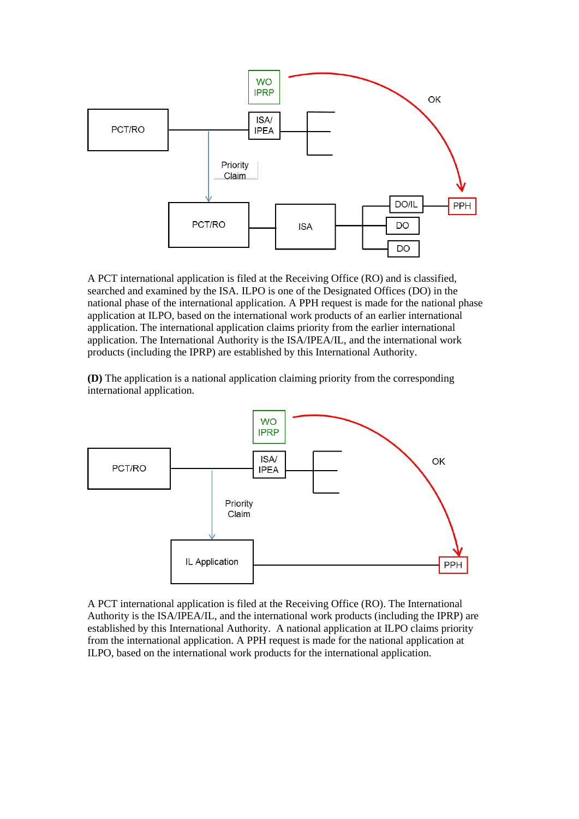

A PCT international application is filed at the Receiving Office (RO) and is classified, searched and examined by the ISA. ILPO is one of the Designated Offices (DO) in the national phase of the international application. A PPH request is made for the national phase application at ILPO, based on the international work products of an earlier international application. The international application claims priority from the earlier international application. The International Authority is the ISA/IPEA/IL, and the international work products (including the IPRP) are established by this International Authority.

**(D)** The application is a national application claiming priority from the corresponding international application.



A PCT international application is filed at the Receiving Office (RO). The International Authority is the ISA/IPEA/IL, and the international work products (including the IPRP) are established by this International Authority. A national application at ILPO claims priority from the international application. A PPH request is made for the national application at ILPO, based on the international work products for the international application.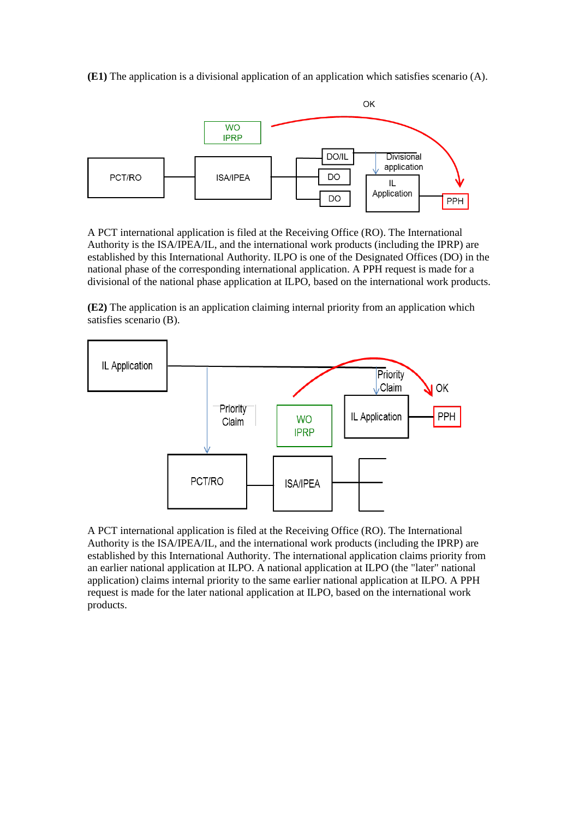**(E1)** The application is a divisional application of an application which satisfies scenario (A).



A PCT international application is filed at the Receiving Office (RO). The International Authority is the ISA/IPEA/IL, and the international work products (including the IPRP) are established by this International Authority. ILPO is one of the Designated Offices (DO) in the national phase of the corresponding international application. A PPH request is made for a divisional of the national phase application at ILPO, based on the international work products.

**(E2)** The application is an application claiming internal priority from an application which satisfies scenario (B).



A PCT international application is filed at the Receiving Office (RO). The International Authority is the ISA/IPEA/IL, and the international work products (including the IPRP) are established by this International Authority. The international application claims priority from an earlier national application at ILPO. A national application at ILPO (the "later" national application) claims internal priority to the same earlier national application at ILPO. A PPH request is made for the later national application at ILPO, based on the international work products.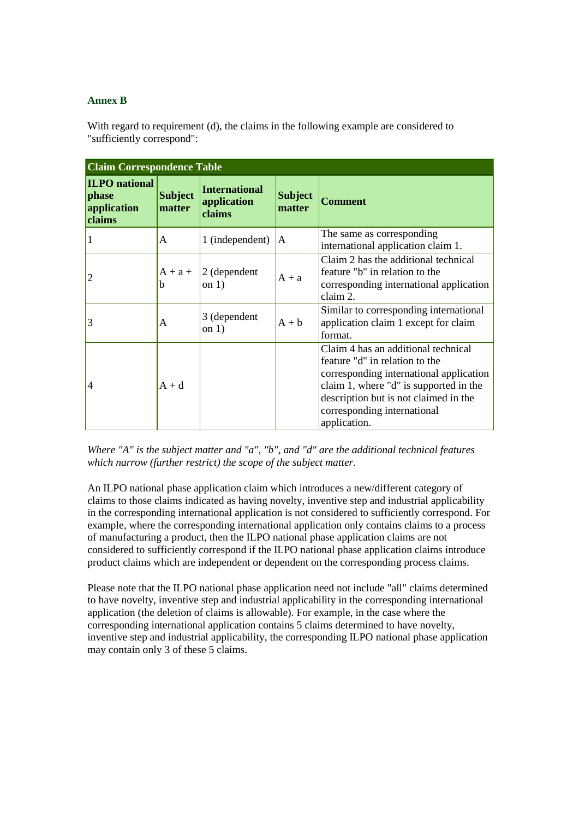## **Annex B**

With regard to requirement (d), the claims in the following example are considered to "sufficiently correspond":

| <b>Claim Correspondence Table</b>                      |                          |                                               |                          |                                                                                                                                                                                                                                                    |  |
|--------------------------------------------------------|--------------------------|-----------------------------------------------|--------------------------|----------------------------------------------------------------------------------------------------------------------------------------------------------------------------------------------------------------------------------------------------|--|
| <b>ILPO</b> national<br>phase<br>application<br>claims | <b>Subject</b><br>matter | <b>International</b><br>application<br>claims | <b>Subject</b><br>matter | <b>Comment</b>                                                                                                                                                                                                                                     |  |
|                                                        | A                        | 1 (independent)                               | A                        | The same as corresponding<br>international application claim 1.                                                                                                                                                                                    |  |
|                                                        | $A + a +$<br>h           | $2$ (dependent<br>on $1)$                     | $A + a$                  | Claim 2 has the additional technical<br>feature "b" in relation to the<br>corresponding international application<br>claim 2.                                                                                                                      |  |
| 3                                                      | A                        | 3 (dependent<br>on $1)$                       | $A + b$                  | Similar to corresponding international<br>application claim 1 except for claim<br>format.                                                                                                                                                          |  |
| 4                                                      | $A + d$                  |                                               |                          | Claim 4 has an additional technical<br>feature "d" in relation to the<br>corresponding international application<br>claim 1, where "d" is supported in the<br>description but is not claimed in the<br>corresponding international<br>application. |  |

*Where "A" is the subject matter and "a", "b", and "d" are the additional technical features which narrow (further restrict) the scope of the subject matter.*

An ILPO national phase application claim which introduces a new/different category of claims to those claims indicated as having novelty, inventive step and industrial applicability in the corresponding international application is not considered to sufficiently correspond. For example, where the corresponding international application only contains claims to a process of manufacturing a product, then the ILPO national phase application claims are not considered to sufficiently correspond if the ILPO national phase application claims introduce product claims which are independent or dependent on the corresponding process claims.

Please note that the ILPO national phase application need not include "all" claims determined to have novelty, inventive step and industrial applicability in the corresponding international application (the deletion of claims is allowable). For example, in the case where the corresponding international application contains 5 claims determined to have novelty, inventive step and industrial applicability, the corresponding ILPO national phase application may contain only 3 of these 5 claims.